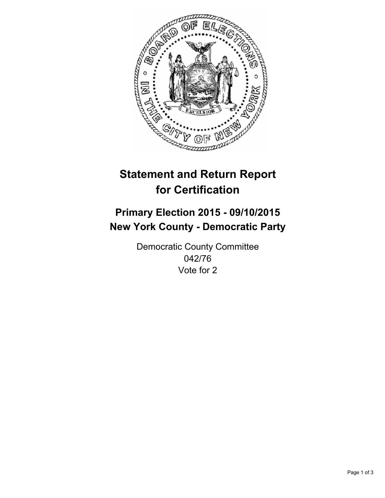

# **Statement and Return Report for Certification**

## **Primary Election 2015 - 09/10/2015 New York County - Democratic Party**

Democratic County Committee 042/76 Vote for 2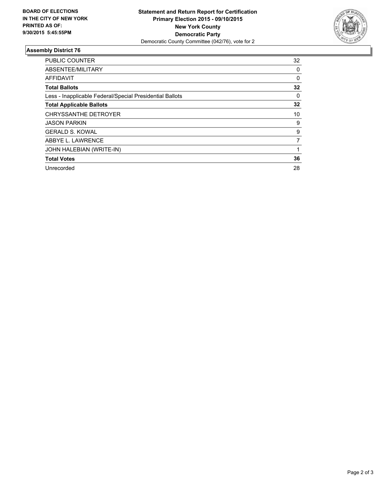

### **Assembly District 76**

| <b>PUBLIC COUNTER</b>                                    | 32       |
|----------------------------------------------------------|----------|
| ABSENTEE/MILITARY                                        | 0        |
| <b>AFFIDAVIT</b>                                         | $\Omega$ |
| <b>Total Ballots</b>                                     | 32       |
| Less - Inapplicable Federal/Special Presidential Ballots | 0        |
| <b>Total Applicable Ballots</b>                          | 32       |
| <b>CHRYSSANTHE DETROYER</b>                              | 10       |
| <b>JASON PARKIN</b>                                      | 9        |
| <b>GERALD S. KOWAL</b>                                   | 9        |
| ABBYE L. LAWRENCE                                        | 7        |
| JOHN HALEBIAN (WRITE-IN)                                 |          |
| <b>Total Votes</b>                                       | 36       |
| Unrecorded                                               | 28       |